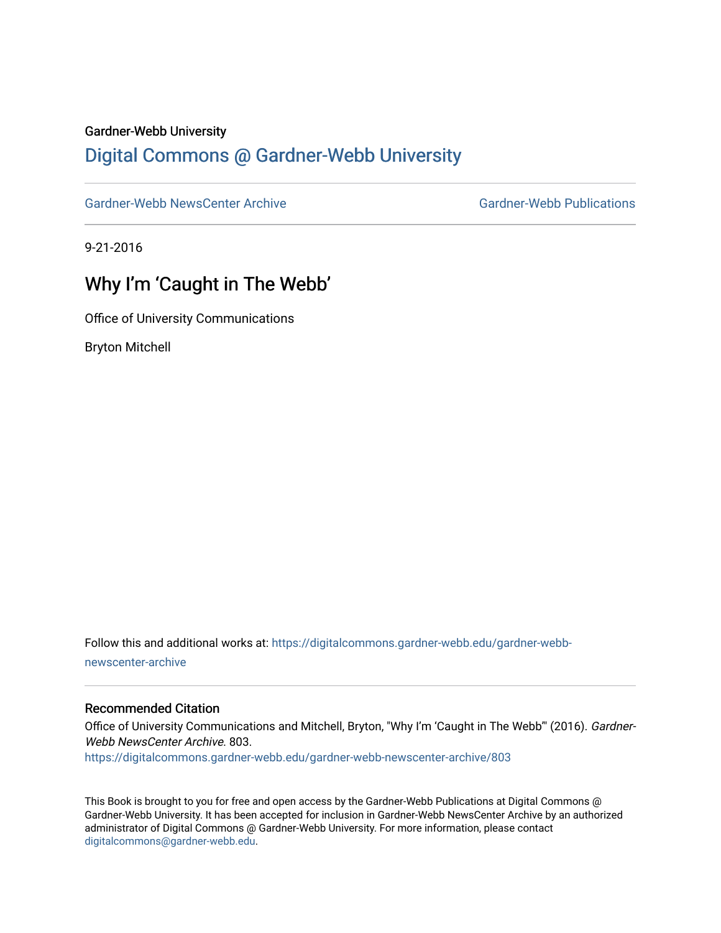#### Gardner-Webb University

## [Digital Commons @ Gardner-Webb University](https://digitalcommons.gardner-webb.edu/)

[Gardner-Webb NewsCenter Archive](https://digitalcommons.gardner-webb.edu/gardner-webb-newscenter-archive) Gardner-Webb Publications

9-21-2016

## Why I'm 'Caught in The Webb'

Office of University Communications

Bryton Mitchell

Follow this and additional works at: [https://digitalcommons.gardner-webb.edu/gardner-webb](https://digitalcommons.gardner-webb.edu/gardner-webb-newscenter-archive?utm_source=digitalcommons.gardner-webb.edu%2Fgardner-webb-newscenter-archive%2F803&utm_medium=PDF&utm_campaign=PDFCoverPages)[newscenter-archive](https://digitalcommons.gardner-webb.edu/gardner-webb-newscenter-archive?utm_source=digitalcommons.gardner-webb.edu%2Fgardner-webb-newscenter-archive%2F803&utm_medium=PDF&utm_campaign=PDFCoverPages)

#### Recommended Citation

Office of University Communications and Mitchell, Bryton, "Why I'm 'Caught in The Webb'" (2016). Gardner-Webb NewsCenter Archive. 803.

[https://digitalcommons.gardner-webb.edu/gardner-webb-newscenter-archive/803](https://digitalcommons.gardner-webb.edu/gardner-webb-newscenter-archive/803?utm_source=digitalcommons.gardner-webb.edu%2Fgardner-webb-newscenter-archive%2F803&utm_medium=PDF&utm_campaign=PDFCoverPages)

This Book is brought to you for free and open access by the Gardner-Webb Publications at Digital Commons @ Gardner-Webb University. It has been accepted for inclusion in Gardner-Webb NewsCenter Archive by an authorized administrator of Digital Commons @ Gardner-Webb University. For more information, please contact [digitalcommons@gardner-webb.edu](mailto:digitalcommons@gardner-webb.edu).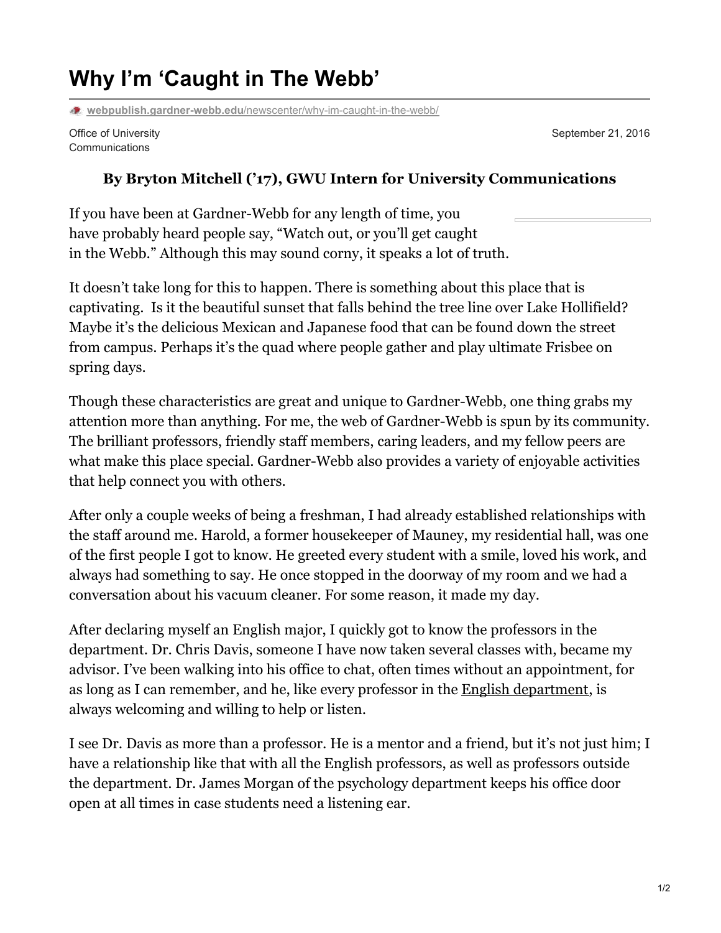# **Why I'm 'Caught in The Webb'**

**webpublish.gardner-webb.edu**[/newscenter/why-im-caught-in-the-webb/](https://webpublish.gardner-webb.edu/newscenter/why-im-caught-in-the-webb/)

Office of University **Communications** 

September 21, 2016

### **By Bryton Mitchell ('17), GWU Intern for University Communications**

If you have been at Gardner-Webb for any length of time, you have probably heard people say, "Watch out, or you'll get caught in the Webb." Although this may sound corny, it speaks a lot of truth.

It doesn't take long for this to happen. There is something about this place that is captivating. Is it the beautiful sunset that falls behind the tree line over Lake Hollifield? Maybe it's the delicious Mexican and Japanese food that can be found down the street from campus. Perhaps it's the quad where people gather and play ultimate Frisbee on spring days.

Though these characteristics are great and unique to Gardner-Webb, one thing grabs my attention more than anything. For me, the web of Gardner-Webb is spun by its community. The brilliant professors, friendly staff members, caring leaders, and my fellow peers are what make this place special. Gardner-Webb also provides a variety of enjoyable activities that help connect you with others.

After only a couple weeks of being a freshman, I had already established relationships with the staff around me. Harold, a former housekeeper of Mauney, my residential hall, was one of the first people I got to know. He greeted every student with a smile, loved his work, and always had something to say. He once stopped in the doorway of my room and we had a conversation about his vacuum cleaner. For some reason, it made my day.

After declaring myself an English major, I quickly got to know the professors in the department. Dr. Chris Davis, someone I have now taken several classes with, became my advisor. I've been walking into his office to chat, often times without an appointment, for as long as I can remember, and he, like every professor in the English [department](http://www.gardner-webb.edu/academic-programs-and-resources/colleges-and-schools/arts-and-sciences/schools-and-departments/english/index), is always welcoming and willing to help or listen.

I see Dr. Davis as more than a professor. He is a mentor and a friend, but it's not just him; I have a relationship like that with all the English professors, as well as professors outside the department. Dr. James Morgan of the psychology department keeps his office door open at all times in case students need a listening ear.